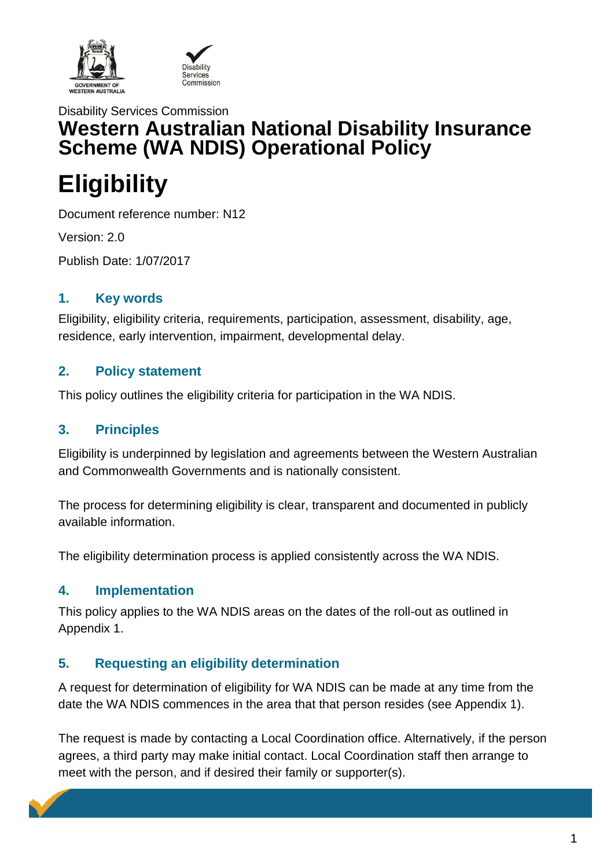

# Disability Services Commission **Western Australian National Disability Insurance Scheme (WA NDIS) Operational Policy**

# **Eligibility**

Document reference number: N12

Version: 2.0

Publish Date: 1/07/2017

#### **1. Key words**

Eligibility, eligibility criteria, requirements, participation, assessment, disability, age, residence, early intervention, impairment, developmental delay.

#### **2. Policy statement**

This policy outlines the eligibility criteria for participation in the WA NDIS.

#### **3. Principles**

Eligibility is underpinned by legislation and agreements between the Western Australian and Commonwealth Governments and is nationally consistent.

The process for determining eligibility is clear, transparent and documented in publicly available information.

The eligibility determination process is applied consistently across the WA NDIS.

#### **4. Implementation**

This policy applies to the WA NDIS areas on the dates of the roll-out as outlined in Appendix 1.

## **5. Requesting an eligibility determination**

A request for determination of eligibility for WA NDIS can be made at any time from the date the WA NDIS commences in the area that that person resides (see Appendix 1).

The request is made by contacting a Local Coordination office. Alternatively, if the person agrees, a third party may make initial contact. Local Coordination staff then arrange to meet with the person, and if desired their family or supporter(s).

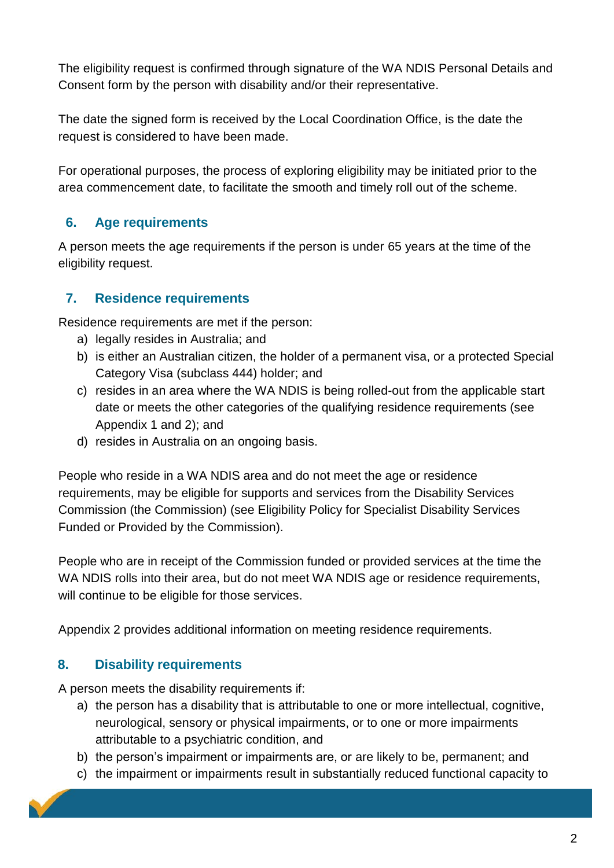The eligibility request is confirmed through signature of the WA NDIS Personal Details and Consent form by the person with disability and/or their representative.

The date the signed form is received by the Local Coordination Office, is the date the request is considered to have been made.

For operational purposes, the process of exploring eligibility may be initiated prior to the area commencement date, to facilitate the smooth and timely roll out of the scheme.

## **6. Age requirements**

A person meets the age requirements if the person is under 65 years at the time of the eligibility request.

## **7. Residence requirements**

Residence requirements are met if the person:

- a) legally resides in Australia; and
- b) is either an Australian citizen, the holder of a permanent visa, or a protected Special Category Visa (subclass 444) holder; and
- c) resides in an area where the WA NDIS is being rolled-out from the applicable start date or meets the other categories of the qualifying residence requirements (see Appendix 1 and 2); and
- d) resides in Australia on an ongoing basis.

People who reside in a WA NDIS area and do not meet the age or residence requirements, may be eligible for supports and services from the Disability Services Commission (the Commission) (see Eligibility Policy for Specialist Disability Services Funded or Provided by the Commission).

People who are in receipt of the Commission funded or provided services at the time the WA NDIS rolls into their area, but do not meet WA NDIS age or residence requirements, will continue to be eligible for those services.

Appendix 2 provides additional information on meeting residence requirements.

## **8. Disability requirements**

A person meets the disability requirements if:

- a) the person has a disability that is attributable to one or more intellectual, cognitive, neurological, sensory or physical impairments, or to one or more impairments attributable to a psychiatric condition, and
- b) the person's impairment or impairments are, or are likely to be, permanent; and
- c) the impairment or impairments result in substantially reduced functional capacity to

2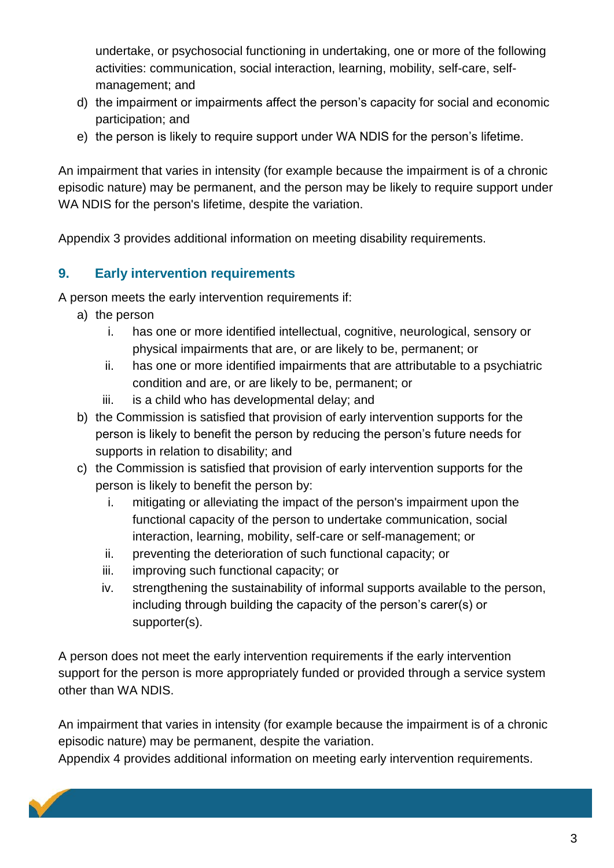undertake, or psychosocial functioning in undertaking, one or more of the following activities: communication, social interaction, learning, mobility, self-care, selfmanagement; and

- d) the impairment or impairments affect the person's capacity for social and economic participation; and
- e) the person is likely to require support under WA NDIS for the person's lifetime.

An impairment that varies in intensity (for example because the impairment is of a chronic episodic nature) may be permanent, and the person may be likely to require support under WA NDIS for the person's lifetime, despite the variation.

Appendix 3 provides additional information on meeting disability requirements.

#### **9. Early intervention requirements**

A person meets the early intervention requirements if:

- a) the person
	- i. has one or more identified intellectual, cognitive, neurological, sensory or physical impairments that are, or are likely to be, permanent; or
	- ii. has one or more identified impairments that are attributable to a psychiatric condition and are, or are likely to be, permanent; or
	- iii. is a child who has developmental delay; and
- b) the Commission is satisfied that provision of early intervention supports for the person is likely to benefit the person by reducing the person's future needs for supports in relation to disability; and
- c) the Commission is satisfied that provision of early intervention supports for the person is likely to benefit the person by:
	- i. mitigating or alleviating the impact of the person's impairment upon the functional capacity of the person to undertake communication, social interaction, learning, mobility, self-care or self-management; or
	- ii. preventing the deterioration of such functional capacity; or
	- iii. improving such functional capacity; or
	- iv. strengthening the sustainability of informal supports available to the person, including through building the capacity of the person's carer(s) or supporter(s).

A person does not meet the early intervention requirements if the early intervention support for the person is more appropriately funded or provided through a service system other than WA NDIS.

An impairment that varies in intensity (for example because the impairment is of a chronic episodic nature) may be permanent, despite the variation.

Appendix 4 provides additional information on meeting early intervention requirements.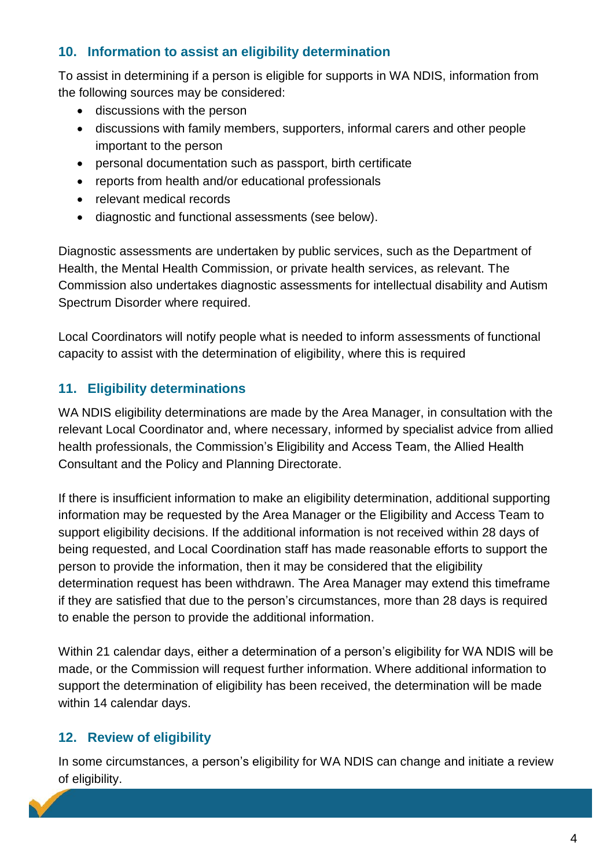## **10. Information to assist an eligibility determination**

To assist in determining if a person is eligible for supports in WA NDIS, information from the following sources may be considered:

- discussions with the person
- discussions with family members, supporters, informal carers and other people important to the person
- personal documentation such as passport, birth certificate
- reports from health and/or educational professionals
- relevant medical records
- diagnostic and functional assessments (see below).

Diagnostic assessments are undertaken by public services, such as the Department of Health, the Mental Health Commission, or private health services, as relevant. The Commission also undertakes diagnostic assessments for intellectual disability and Autism Spectrum Disorder where required.

Local Coordinators will notify people what is needed to inform assessments of functional capacity to assist with the determination of eligibility, where this is required

## **11. Eligibility determinations**

WA NDIS eligibility determinations are made by the Area Manager, in consultation with the relevant Local Coordinator and, where necessary, informed by specialist advice from allied health professionals, the Commission's Eligibility and Access Team, the Allied Health Consultant and the Policy and Planning Directorate.

If there is insufficient information to make an eligibility determination, additional supporting information may be requested by the Area Manager or the Eligibility and Access Team to support eligibility decisions. If the additional information is not received within 28 days of being requested, and Local Coordination staff has made reasonable efforts to support the person to provide the information, then it may be considered that the eligibility determination request has been withdrawn. The Area Manager may extend this timeframe if they are satisfied that due to the person's circumstances, more than 28 days is required to enable the person to provide the additional information.

Within 21 calendar days, either a determination of a person's eligibility for WA NDIS will be made, or the Commission will request further information. Where additional information to support the determination of eligibility has been received, the determination will be made within 14 calendar days.

## **12. Review of eligibility**

In some circumstances, a person's eligibility for WA NDIS can change and initiate a review of eligibility.

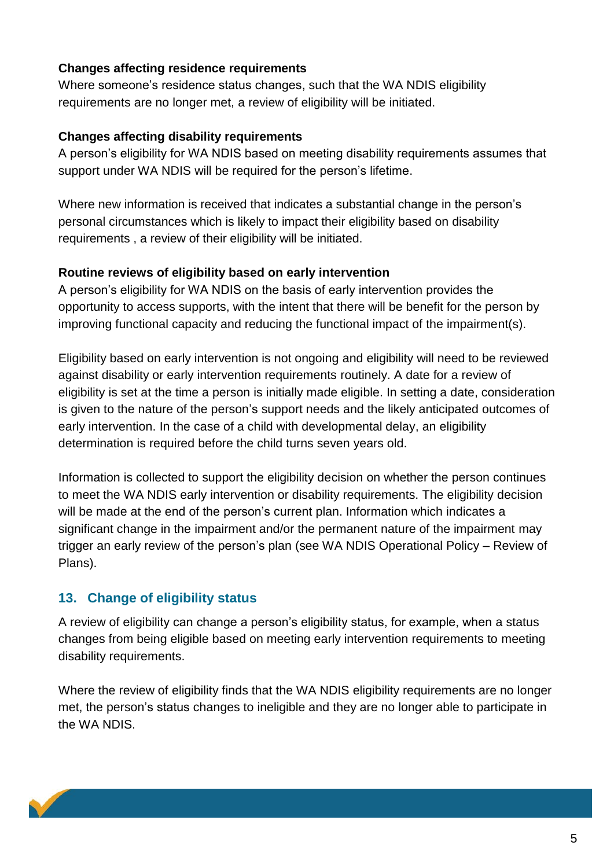#### **Changes affecting residence requirements**

Where someone's residence status changes, such that the WA NDIS eligibility requirements are no longer met, a review of eligibility will be initiated.

#### **Changes affecting disability requirements**

A person's eligibility for WA NDIS based on meeting disability requirements assumes that support under WA NDIS will be required for the person's lifetime.

Where new information is received that indicates a substantial change in the person's personal circumstances which is likely to impact their eligibility based on disability requirements , a review of their eligibility will be initiated.

#### **Routine reviews of eligibility based on early intervention**

A person's eligibility for WA NDIS on the basis of early intervention provides the opportunity to access supports, with the intent that there will be benefit for the person by improving functional capacity and reducing the functional impact of the impairment(s).

Eligibility based on early intervention is not ongoing and eligibility will need to be reviewed against disability or early intervention requirements routinely. A date for a review of eligibility is set at the time a person is initially made eligible. In setting a date, consideration is given to the nature of the person's support needs and the likely anticipated outcomes of early intervention. In the case of a child with developmental delay, an eligibility determination is required before the child turns seven years old.

Information is collected to support the eligibility decision on whether the person continues to meet the WA NDIS early intervention or disability requirements. The eligibility decision will be made at the end of the person's current plan. Information which indicates a significant change in the impairment and/or the permanent nature of the impairment may trigger an early review of the person's plan (see WA NDIS Operational Policy – Review of Plans).

#### **13. Change of eligibility status**

A review of eligibility can change a person's eligibility status, for example, when a status changes from being eligible based on meeting early intervention requirements to meeting disability requirements.

Where the review of eligibility finds that the WA NDIS eligibility requirements are no longer met, the person's status changes to ineligible and they are no longer able to participate in the WA NDIS.

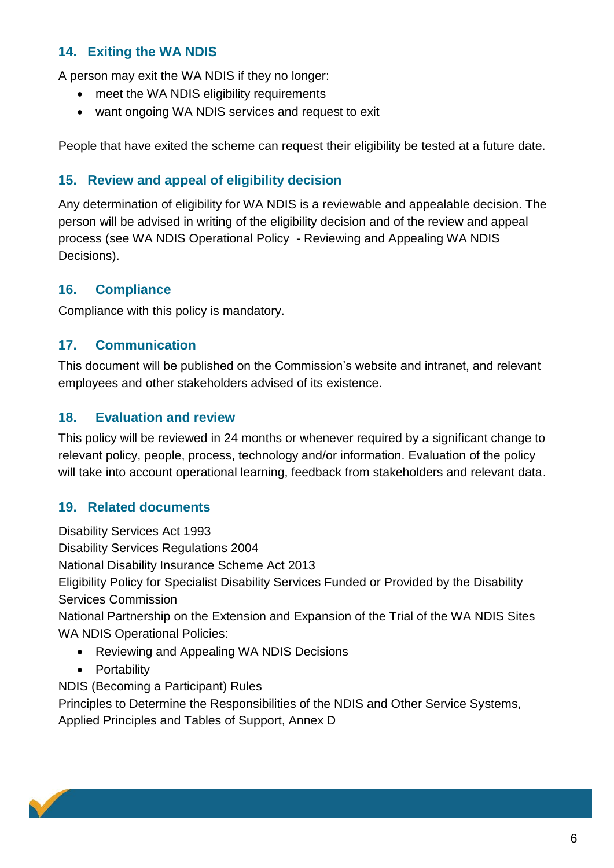## **14. Exiting the WA NDIS**

A person may exit the WA NDIS if they no longer:

- meet the WA NDIS eligibility requirements
- want ongoing WA NDIS services and request to exit

People that have exited the scheme can request their eligibility be tested at a future date.

## **15. Review and appeal of eligibility decision**

Any determination of eligibility for WA NDIS is a reviewable and appealable decision. The person will be advised in writing of the eligibility decision and of the review and appeal process (see WA NDIS Operational Policy - Reviewing and Appealing WA NDIS Decisions).

#### **16. Compliance**

Compliance with this policy is mandatory.

#### **17. Communication**

This document will be published on the Commission's website and intranet, and relevant employees and other stakeholders advised of its existence.

#### **18. Evaluation and review**

This policy will be reviewed in 24 months or whenever required by a significant change to relevant policy, people, process, technology and/or information. Evaluation of the policy will take into account operational learning, feedback from stakeholders and relevant data.

## **19. Related documents**

Disability Services Act 1993 Disability Services Regulations 2004 National Disability Insurance Scheme Act 2013 Eligibility Policy for Specialist Disability Services Funded or Provided by the Disability Services Commission National Partnership on the Extension and Expansion of the Trial of the WA NDIS Sites WA NDIS Operational Policies: Reviewing and Appealing WA NDIS Decisions

• Portability

NDIS (Becoming a Participant) Rules

Principles to Determine the Responsibilities of the NDIS and Other Service Systems, Applied Principles and Tables of Support, Annex D

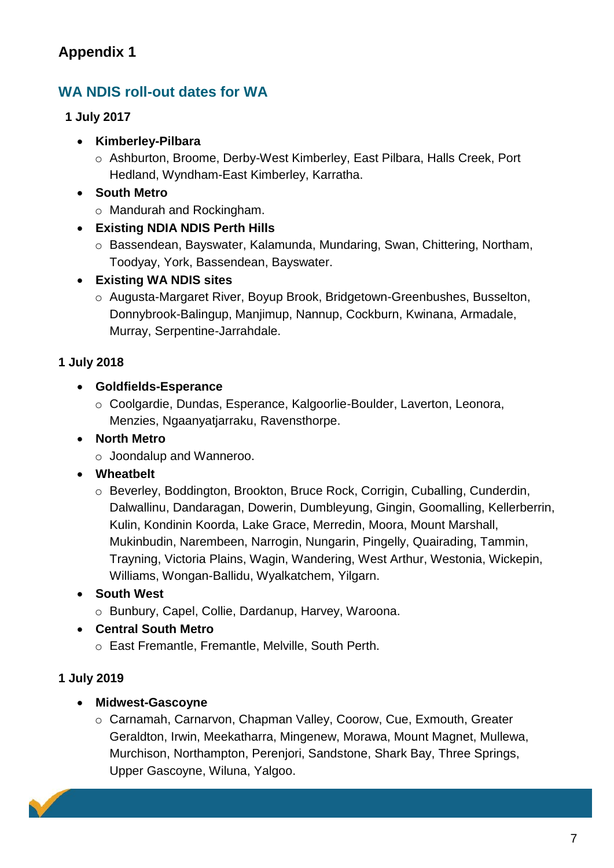# **WA NDIS roll-out dates for WA**

#### **1 July 2017**

- **Kimberley-Pilbara** 
	- o Ashburton, Broome, Derby-West Kimberley, East Pilbara, Halls Creek, Port Hedland, Wyndham-East Kimberley, Karratha.
- **South Metro** 
	- o Mandurah and Rockingham.

## **Existing NDIA NDIS Perth Hills**

o Bassendean, Bayswater, Kalamunda, Mundaring, Swan, Chittering, Northam, Toodyay, York, Bassendean, Bayswater.

## **Existing WA NDIS sites**

o Augusta-Margaret River, Boyup Brook, Bridgetown-Greenbushes, Busselton, Donnybrook-Balingup, Manjimup, Nannup, Cockburn, Kwinana, Armadale, Murray, Serpentine-Jarrahdale.

## **1 July 2018**

#### **Goldfields-Esperance**

o Coolgardie, Dundas, Esperance, Kalgoorlie-Boulder, Laverton, Leonora, Menzies, Ngaanyatjarraku, Ravensthorpe.

## **North Metro**

o Joondalup and Wanneroo.

## **Wheatbelt**

o Beverley, Boddington, Brookton, Bruce Rock, Corrigin, Cuballing, Cunderdin, Dalwallinu, Dandaragan, Dowerin, Dumbleyung, Gingin, Goomalling, Kellerberrin, Kulin, Kondinin Koorda, Lake Grace, Merredin, Moora, Mount Marshall, Mukinbudin, Narembeen, Narrogin, Nungarin, Pingelly, Quairading, Tammin, Trayning, Victoria Plains, Wagin, Wandering, West Arthur, Westonia, Wickepin, Williams, Wongan-Ballidu, Wyalkatchem, Yilgarn.

**South West** 

o Bunbury, Capel, Collie, Dardanup, Harvey, Waroona.

## **Central South Metro**

o East Fremantle, Fremantle, Melville, South Perth.

## **1 July 2019**

## **Midwest-Gascoyne**

o Carnamah, Carnarvon, Chapman Valley, Coorow, Cue, Exmouth, Greater Geraldton, Irwin, Meekatharra, Mingenew, Morawa, Mount Magnet, Mullewa, Murchison, Northampton, Perenjori, Sandstone, Shark Bay, Three Springs, Upper Gascoyne, Wiluna, Yalgoo.

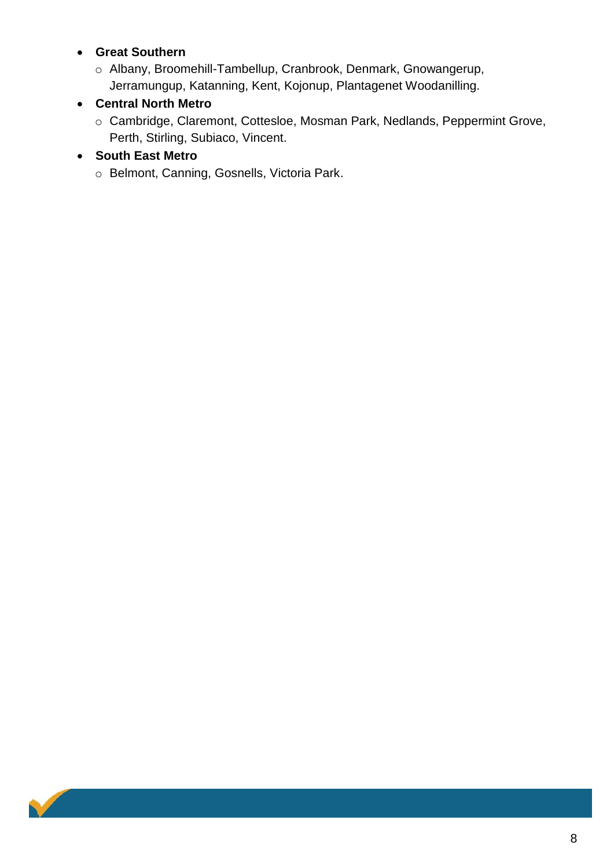#### **Great Southern**

o Albany, Broomehill-Tambellup, Cranbrook, Denmark, Gnowangerup, Jerramungup, Katanning, Kent, Kojonup, Plantagenet Woodanilling.

### **Central North Metro**

o Cambridge, Claremont, Cottesloe, Mosman Park, Nedlands, Peppermint Grove, Perth, Stirling, Subiaco, Vincent.

#### **South East Metro**

o Belmont, Canning, Gosnells, Victoria Park.

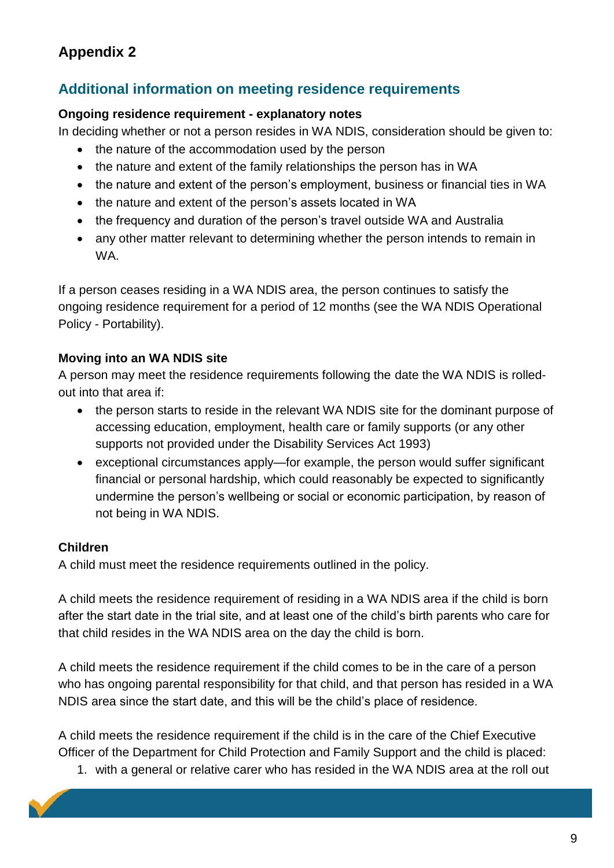## **Additional information on meeting residence requirements**

#### **Ongoing residence requirement - explanatory notes**

In deciding whether or not a person resides in WA NDIS, consideration should be given to:

- the nature of the accommodation used by the person
- the nature and extent of the family relationships the person has in WA
- the nature and extent of the person's employment, business or financial ties in WA
- the nature and extent of the person's assets located in WA
- the frequency and duration of the person's travel outside WA and Australia
- any other matter relevant to determining whether the person intends to remain in WA.

If a person ceases residing in a WA NDIS area, the person continues to satisfy the ongoing residence requirement for a period of 12 months (see the WA NDIS Operational Policy - Portability).

#### **Moving into an WA NDIS site**

A person may meet the residence requirements following the date the WA NDIS is rolledout into that area if:

- the person starts to reside in the relevant WA NDIS site for the dominant purpose of accessing education, employment, health care or family supports (or any other supports not provided under the Disability Services Act 1993)
- exceptional circumstances apply—for example, the person would suffer significant financial or personal hardship, which could reasonably be expected to significantly undermine the person's wellbeing or social or economic participation, by reason of not being in WA NDIS.

#### **Children**

A child must meet the residence requirements outlined in the policy.

A child meets the residence requirement of residing in a WA NDIS area if the child is born after the start date in the trial site, and at least one of the child's birth parents who care for that child resides in the WA NDIS area on the day the child is born.

A child meets the residence requirement if the child comes to be in the care of a person who has ongoing parental responsibility for that child, and that person has resided in a WA NDIS area since the start date, and this will be the child's place of residence.

A child meets the residence requirement if the child is in the care of the Chief Executive Officer of the Department for Child Protection and Family Support and the child is placed:

1. with a general or relative carer who has resided in the WA NDIS area at the roll out

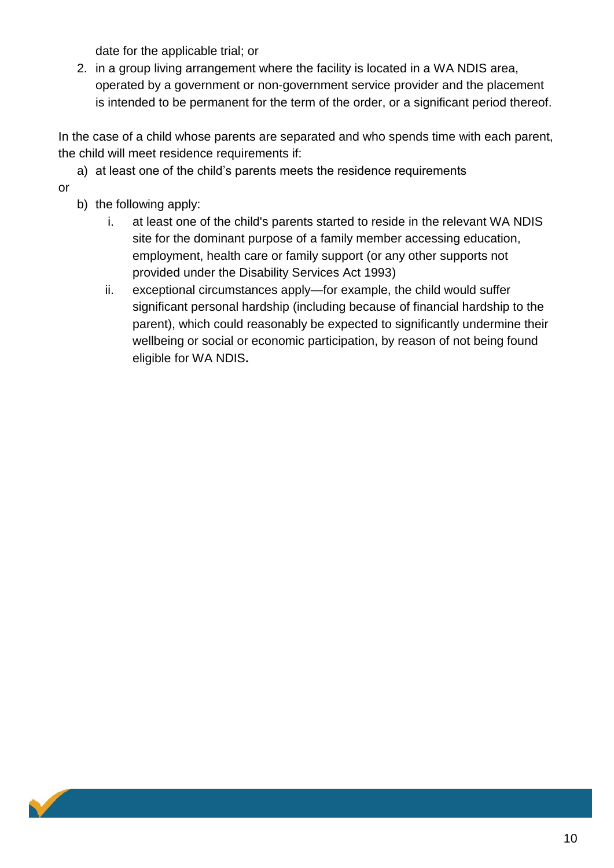date for the applicable trial; or

2. in a group living arrangement where the facility is located in a WA NDIS area, operated by a government or non-government service provider and the placement is intended to be permanent for the term of the order, or a significant period thereof.

In the case of a child whose parents are separated and who spends time with each parent, the child will meet residence requirements if:

a) at least one of the child's parents meets the residence requirements

or

- b) the following apply:
	- i. at least one of the child's parents started to reside in the relevant WA NDIS site for the dominant purpose of a family member accessing education, employment, health care or family support (or any other supports not provided under the Disability Services Act 1993)
	- ii. exceptional circumstances apply—for example, the child would suffer significant personal hardship (including because of financial hardship to the parent), which could reasonably be expected to significantly undermine their wellbeing or social or economic participation, by reason of not being found eligible for WA NDIS**.**

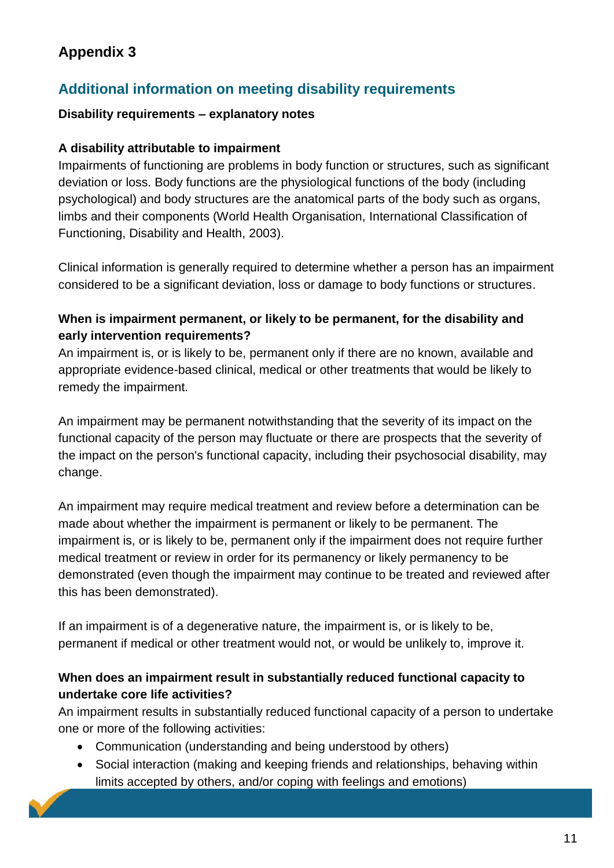# **Additional information on meeting disability requirements**

#### **Disability requirements – explanatory notes**

#### **A disability attributable to impairment**

Impairments of functioning are problems in body function or structures, such as significant deviation or loss. Body functions are the physiological functions of the body (including psychological) and body structures are the anatomical parts of the body such as organs, limbs and their components (World Health Organisation, International Classification of Functioning, Disability and Health, 2003).

Clinical information is generally required to determine whether a person has an impairment considered to be a significant deviation, loss or damage to body functions or structures.

#### **When is impairment permanent, or likely to be permanent, for the disability and early intervention requirements?**

An impairment is, or is likely to be, permanent only if there are no known, available and appropriate evidence-based clinical, medical or other treatments that would be likely to remedy the impairment.

An impairment may be permanent notwithstanding that the severity of its impact on the functional capacity of the person may fluctuate or there are prospects that the severity of the impact on the person's functional capacity, including their psychosocial disability, may change.

An impairment may require medical treatment and review before a determination can be made about whether the impairment is permanent or likely to be permanent. The impairment is, or is likely to be, permanent only if the impairment does not require further medical treatment or review in order for its permanency or likely permanency to be demonstrated (even though the impairment may continue to be treated and reviewed after this has been demonstrated).

If an impairment is of a degenerative nature, the impairment is, or is likely to be, permanent if medical or other treatment would not, or would be unlikely to, improve it.

#### **When does an impairment result in substantially reduced functional capacity to undertake core life activities?**

An impairment results in substantially reduced functional capacity of a person to undertake one or more of the following activities:

- Communication (understanding and being understood by others)
- Social interaction (making and keeping friends and relationships, behaving within limits accepted by others, and/or coping with feelings and emotions)

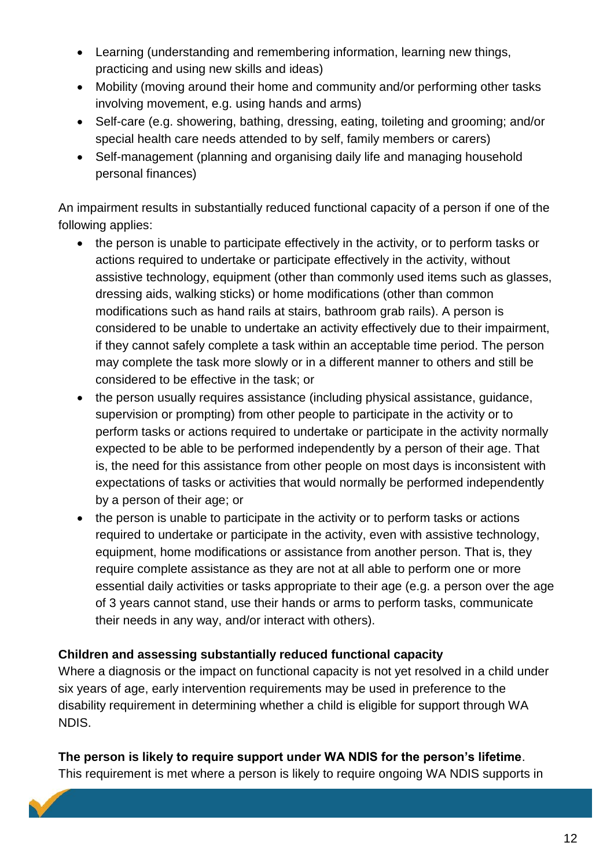- Learning (understanding and remembering information, learning new things, practicing and using new skills and ideas)
- Mobility (moving around their home and community and/or performing other tasks involving movement, e.g. using hands and arms)
- Self-care (e.g. showering, bathing, dressing, eating, toileting and grooming; and/or special health care needs attended to by self, family members or carers)
- Self-management (planning and organising daily life and managing household personal finances)

An impairment results in substantially reduced functional capacity of a person if one of the following applies:

- the person is unable to participate effectively in the activity, or to perform tasks or actions required to undertake or participate effectively in the activity, without assistive technology, equipment (other than commonly used items such as glasses, dressing aids, walking sticks) or home modifications (other than common modifications such as hand rails at stairs, bathroom grab rails). A person is considered to be unable to undertake an activity effectively due to their impairment, if they cannot safely complete a task within an acceptable time period. The person may complete the task more slowly or in a different manner to others and still be considered to be effective in the task; or
- the person usually requires assistance (including physical assistance, guidance, supervision or prompting) from other people to participate in the activity or to perform tasks or actions required to undertake or participate in the activity normally expected to be able to be performed independently by a person of their age. That is, the need for this assistance from other people on most days is inconsistent with expectations of tasks or activities that would normally be performed independently by a person of their age; or
- the person is unable to participate in the activity or to perform tasks or actions required to undertake or participate in the activity, even with assistive technology, equipment, home modifications or assistance from another person. That is, they require complete assistance as they are not at all able to perform one or more essential daily activities or tasks appropriate to their age (e.g. a person over the age of 3 years cannot stand, use their hands or arms to perform tasks, communicate their needs in any way, and/or interact with others).

#### **Children and assessing substantially reduced functional capacity**

Where a diagnosis or the impact on functional capacity is not yet resolved in a child under six years of age, early intervention requirements may be used in preference to the disability requirement in determining whether a child is eligible for support through WA NDIS.

#### **The person is likely to require support under WA NDIS for the person's lifetime**.

This requirement is met where a person is likely to require ongoing WA NDIS supports in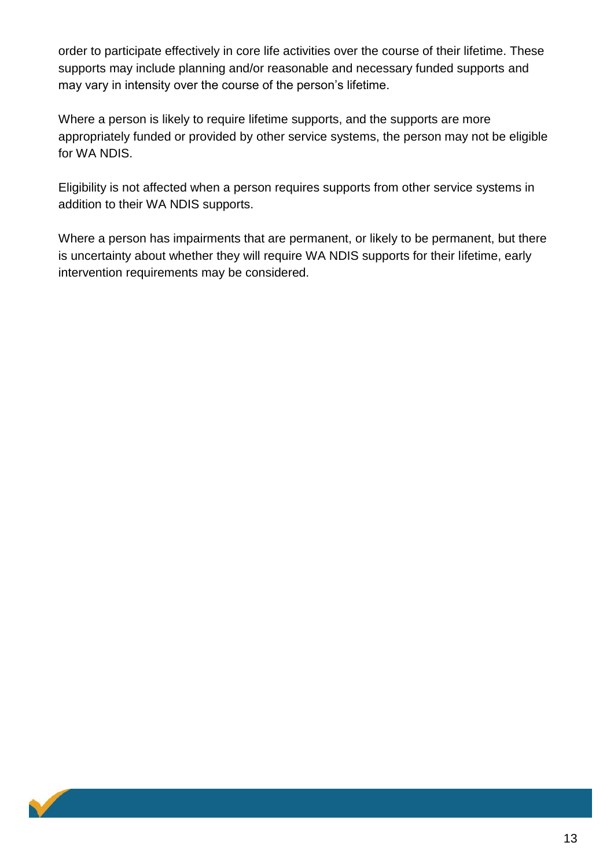order to participate effectively in core life activities over the course of their lifetime. These supports may include planning and/or reasonable and necessary funded supports and may vary in intensity over the course of the person's lifetime.

Where a person is likely to require lifetime supports, and the supports are more appropriately funded or provided by other service systems, the person may not be eligible for WA NDIS.

Eligibility is not affected when a person requires supports from other service systems in addition to their WA NDIS supports.

Where a person has impairments that are permanent, or likely to be permanent, but there is uncertainty about whether they will require WA NDIS supports for their lifetime, early intervention requirements may be considered.